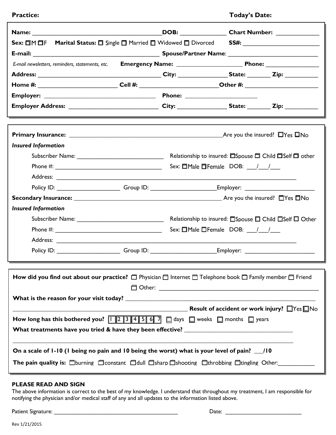|  | <b>Practice:</b> |
|--|------------------|
|  |                  |

## **Practice: Today's Date:**

Ъ

|                                                                                                                                                                                                                                                                                                                                             |  |                                                        | DOB: Chart Number:                                     |  |
|---------------------------------------------------------------------------------------------------------------------------------------------------------------------------------------------------------------------------------------------------------------------------------------------------------------------------------------------|--|--------------------------------------------------------|--------------------------------------------------------|--|
|                                                                                                                                                                                                                                                                                                                                             |  |                                                        |                                                        |  |
|                                                                                                                                                                                                                                                                                                                                             |  |                                                        |                                                        |  |
| E-mail newsletters, reminders, statements, etc.                                                                                                                                                                                                                                                                                             |  |                                                        |                                                        |  |
|                                                                                                                                                                                                                                                                                                                                             |  |                                                        |                                                        |  |
| Home #: ____________________________Cell #: __________________________Other #: _____________________                                                                                                                                                                                                                                        |  |                                                        |                                                        |  |
|                                                                                                                                                                                                                                                                                                                                             |  |                                                        |                                                        |  |
| Employer Address: _________________________________City: _________________State: _________Zip: ___________                                                                                                                                                                                                                                  |  |                                                        |                                                        |  |
|                                                                                                                                                                                                                                                                                                                                             |  |                                                        |                                                        |  |
|                                                                                                                                                                                                                                                                                                                                             |  |                                                        |                                                        |  |
| <b>Insured Information</b>                                                                                                                                                                                                                                                                                                                  |  |                                                        |                                                        |  |
|                                                                                                                                                                                                                                                                                                                                             |  | Relationship to insured: ESpouse E Child ESelf E other |                                                        |  |
|                                                                                                                                                                                                                                                                                                                                             |  | Sex: $\Box$ Male $\Box$ Female DOB: $\frac{1}{\Box}$   |                                                        |  |
|                                                                                                                                                                                                                                                                                                                                             |  |                                                        |                                                        |  |
|                                                                                                                                                                                                                                                                                                                                             |  |                                                        |                                                        |  |
|                                                                                                                                                                                                                                                                                                                                             |  |                                                        |                                                        |  |
| <b>Insured Information</b>                                                                                                                                                                                                                                                                                                                  |  |                                                        |                                                        |  |
|                                                                                                                                                                                                                                                                                                                                             |  |                                                        | Relationship to insured: □Spouse □ Child □Self □ Other |  |
|                                                                                                                                                                                                                                                                                                                                             |  | Sex: $\Box$ Male $\Box$ Female DOB: $\frac{1}{\Box}$   |                                                        |  |
|                                                                                                                                                                                                                                                                                                                                             |  |                                                        |                                                        |  |
| Policy ID: ______________________Group ID: _________________________Employer: _____________________                                                                                                                                                                                                                                         |  |                                                        |                                                        |  |
|                                                                                                                                                                                                                                                                                                                                             |  |                                                        |                                                        |  |
|                                                                                                                                                                                                                                                                                                                                             |  |                                                        |                                                        |  |
|                                                                                                                                                                                                                                                                                                                                             |  |                                                        |                                                        |  |
|                                                                                                                                                                                                                                                                                                                                             |  |                                                        |                                                        |  |
| Result of accident or work injury? $\Box$ Yes $\Box$ No<br>How long has this bothered you? $\boxed{1}$ $\boxed{2}$ $\boxed{3}$ $\boxed{4}$ $\boxed{5}$ $\boxed{6}$ $\boxed{7}$ $\boxed{0}$ days $\boxed{0}$ weeks $\boxed{0}$ months $\boxed{0}$ years<br>What treatments have you tried & have they been effective? ______________________ |  |                                                        |                                                        |  |
| On a scale of 1-10 (1 being no pain and 10 being the worst) what is your level of pain? 10<br>The pain quality is: $\Box$ burning $\Box$ constant $\Box$ dull $\Box$ sharp $\Box$ shooting $\Box$ throbbing $\Box$ tingling Other:                                                                                                          |  |                                                        |                                                        |  |

## **PLEASE READ AND SIGN**

The above information is correct to the best of my knowledge. I understand that throughout my treatment, I am responsible for notifying the physician and/or medical staff of any and all updates to the information listed above.

Patient Signature: \_\_\_\_\_\_\_\_\_\_\_\_\_\_\_\_\_\_\_\_\_\_\_\_\_\_\_\_\_\_\_\_\_\_\_\_\_\_\_ Date: \_\_\_\_\_\_\_\_\_\_\_\_\_\_\_\_\_\_\_\_\_\_\_\_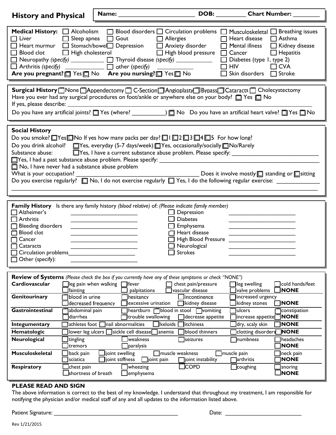| <b>History and Physical</b>                                                                                                                                                                                                                                                                                                                                                                                                                                                                                                                                                                                                                                                                  | <b>Name:</b>                                                                                                                                                                                                                                                                                                                                                                   | DOB:                                                                    | <b>Chart Number:</b>                                                                                                                                                                                                                                                                                           |  |
|----------------------------------------------------------------------------------------------------------------------------------------------------------------------------------------------------------------------------------------------------------------------------------------------------------------------------------------------------------------------------------------------------------------------------------------------------------------------------------------------------------------------------------------------------------------------------------------------------------------------------------------------------------------------------------------------|--------------------------------------------------------------------------------------------------------------------------------------------------------------------------------------------------------------------------------------------------------------------------------------------------------------------------------------------------------------------------------|-------------------------------------------------------------------------|----------------------------------------------------------------------------------------------------------------------------------------------------------------------------------------------------------------------------------------------------------------------------------------------------------------|--|
| Medical History: <b>4</b> Alcoholism<br>$\sqsupset$ Liver<br>$\Box$<br>Blood clot<br>$\Box$                                                                                                                                                                                                                                                                                                                                                                                                                                                                                                                                                                                                  | Sleep apnea<br>$\Box$ Gout<br>Heart murmur □ Stomach/bowel□ Depression □ Anxiety disorder<br>$\Box$ High cholesterol<br>$\Box$ Neuropathy (specify) ___________ $\Box$ Thyroid disease (specify) ___________<br>$\Box$ Arthritis (specify) ______________ $\Box$ other (specify)<br><b>Are you pregnant?</b> $\Box$ Yes $\Box$ No <b>Are you nursing?</b> $\Box$ Yes $\Box$ No | $\Box$ Allergies<br>$\Box$ High blood pressure                          | Blood disorders $\Box$ Circulation problems $\Box$ Musculoskeletal $\Box$ Breathing issues<br>$\Box$ Heart disease<br>$\Box$ Asthma<br>$\Box$ Mental illness<br>□ Kidney disease<br>$\Box$ Cancer<br>$\Box$ Hepatitis<br>$\Box$ Diabetes (type 1, type 2)<br>$\Box$ HIV<br>$\Box$ CVA<br>Skin disorders Stroke |  |
| Surgical History Mone MAppendectomy MC-Section MAngioplasty MBypass MCataracts MCholecystectomy<br>Have you ever had any surgical procedures on foot/ankle or anywhere else on your body? $\Box$ Yes $\Box$ No<br>If yes, please describe: _<br><u> 1980 - Jan Samuel Barbara, margaret e</u> n 1980 eta eta 1980 eta 1980 eta 1980 eta 1980 eta 1980 eta 1980 eta 198                                                                                                                                                                                                                                                                                                                       |                                                                                                                                                                                                                                                                                                                                                                                |                                                                         |                                                                                                                                                                                                                                                                                                                |  |
| <b>Social History</b><br>Do you smoke? $\Box$ Yes $\Box$ No If yes how many packs per day? $\Box$ I $\Box$ 2 $\Box$ 3 $\Box$ 4 $\Box$ 5 For how long?<br>Do you drink alcohol? TYes, everyday (5-7 days/week) TYes, occasionally/socially TNo/Rarely<br>TYes, I have a current substance abuse problem. Please specify:<br>Substance abuse:<br>$\Box$ Yes, I had a past substance abuse problem. Please specify: $\_$<br>$\Box$ No, I have never had a substance abuse problem<br>What is your occupation?<br>Does it involve mostly $\Box$ standing or $\Box$ sitting<br>Do you exercise regularly? $\Box$ No, I do not exercise regularly $\Box$ Yes, I do the following regular exercise: |                                                                                                                                                                                                                                                                                                                                                                                |                                                                         |                                                                                                                                                                                                                                                                                                                |  |
| Family History Is there any family history (blood relative) of: (Please indicate family member)<br>Alzheimer's<br>Depression<br>Arthritis<br><b>Diabetes</b><br><b>Bleeding disorders</b><br>Emphysema<br>Blood clot<br>Heart disease<br><b>High Blood Pressure</b><br>Cancer<br>Neurological<br>Cataracts<br><b>Strokes</b><br>Circulation problems<br>Other (specify):                                                                                                                                                                                                                                                                                                                     |                                                                                                                                                                                                                                                                                                                                                                                |                                                                         |                                                                                                                                                                                                                                                                                                                |  |
|                                                                                                                                                                                                                                                                                                                                                                                                                                                                                                                                                                                                                                                                                              | <b>Review of Systems</b> (Please check the box if you currently have any of these symptoms or check "NONE")                                                                                                                                                                                                                                                                    |                                                                         |                                                                                                                                                                                                                                                                                                                |  |
| Cardiovascular                                                                                                                                                                                                                                                                                                                                                                                                                                                                                                                                                                                                                                                                               | $\exists$ leg pain when walking $\Box$ fever<br>lfainting<br>palpitations                                                                                                                                                                                                                                                                                                      | chest pain/pressure<br>vascular disease                                 | leg swelling<br>$\sqcap$ cold hands/feet<br><b>NONE</b><br>valve problems                                                                                                                                                                                                                                      |  |
|                                                                                                                                                                                                                                                                                                                                                                                                                                                                                                                                                                                                                                                                                              | blood in urine<br>]hesitancy                                                                                                                                                                                                                                                                                                                                                   | Incontinence                                                            |                                                                                                                                                                                                                                                                                                                |  |
| Genitourinary                                                                                                                                                                                                                                                                                                                                                                                                                                                                                                                                                                                                                                                                                | excessive urination<br>decreased frequency                                                                                                                                                                                                                                                                                                                                     | kidney disease                                                          | increased urgency<br>kidney stones<br><b>NONE</b>                                                                                                                                                                                                                                                              |  |
| Gastrointestinal                                                                                                                                                                                                                                                                                                                                                                                                                                                                                                                                                                                                                                                                             | abdominal pain<br>diarrhea<br>trouble swallowing                                                                                                                                                                                                                                                                                                                               | heartburn <b>blood</b> in stool<br>$\Box$ vomiting<br>decrease appetite | lulcers<br>constipation<br><b>NONE</b><br>]increase appetite[                                                                                                                                                                                                                                                  |  |
| Integumentary                                                                                                                                                                                                                                                                                                                                                                                                                                                                                                                                                                                                                                                                                | athletes foot [<br>Inail abnormalities                                                                                                                                                                                                                                                                                                                                         | keloids<br>itchiness                                                    | <b>NONE</b><br>dry, scaly skin                                                                                                                                                                                                                                                                                 |  |
| Hematologic                                                                                                                                                                                                                                                                                                                                                                                                                                                                                                                                                                                                                                                                                  | $\overline{\phantom{a}}$ sickle cell disease $\overline{\phantom{a}}$<br>lower leg ulcers $\square$                                                                                                                                                                                                                                                                            | blood thinners<br>anemia                                                | <b>NONE</b><br>clotting disorders                                                                                                                                                                                                                                                                              |  |
| Neurological                                                                                                                                                                                                                                                                                                                                                                                                                                                                                                                                                                                                                                                                                 | $\exists$ weakness<br>tingling]<br>tremors<br>$\Box$ paralysis                                                                                                                                                                                                                                                                                                                 | ]seizures                                                               | <b>Inumbness</b><br>headaches<br><b>NONE</b>                                                                                                                                                                                                                                                                   |  |
| <b>Musculoskeletal</b>                                                                                                                                                                                                                                                                                                                                                                                                                                                                                                                                                                                                                                                                       | joint swelling<br>back pain<br>joint stiffness<br>$\Box$ sciatica                                                                                                                                                                                                                                                                                                              | muscle weakness<br>joint pain<br>$\Box$ joint instability               | muscle pain<br>neck pain<br><b>NONE</b><br>$\overline{\phantom{a}}$ arthritis                                                                                                                                                                                                                                  |  |

## **PLEASE READ AND SIGN**

The above information is correct to the best of my knowledge. I understand that throughout my treatment, I am responsible for notifying the physician and/or medical staff of any and all updates to the information listed above.

Patient Signature: \_\_\_\_\_\_\_\_\_\_\_\_\_\_\_\_\_\_\_\_\_\_\_\_\_\_\_\_\_\_\_\_\_\_\_\_\_\_\_ Date: \_\_\_\_\_\_\_\_\_\_\_\_\_\_\_\_\_\_\_\_\_\_\_\_